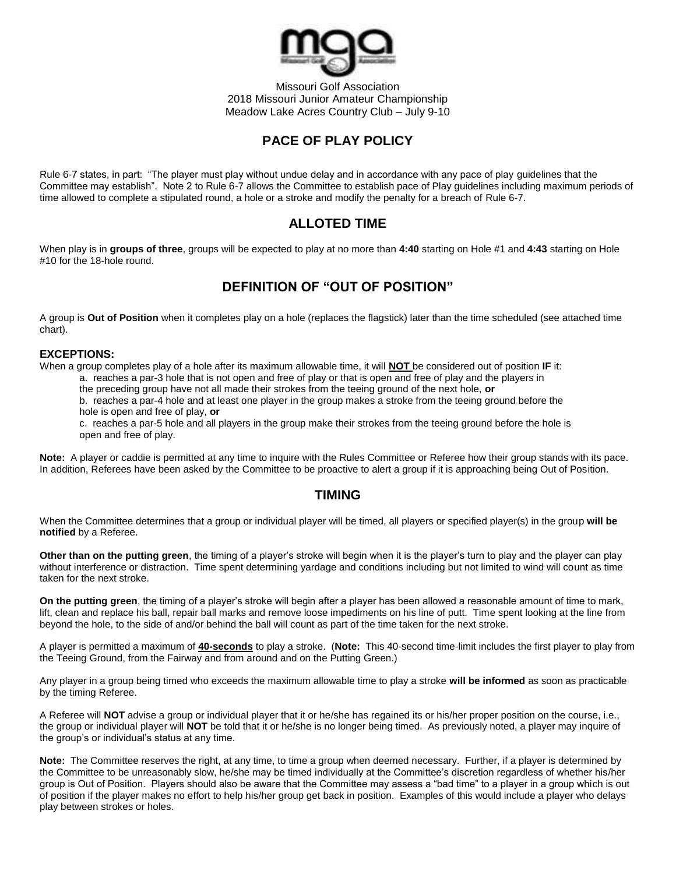

Missouri Golf Association 2018 Missouri Junior Amateur Championship Meadow Lake Acres Country Club – July 9-10

# **PACE OF PLAY POLICY**

Rule 6-7 states, in part: "The player must play without undue delay and in accordance with any pace of play guidelines that the Committee may establish". Note 2 to Rule 6-7 allows the Committee to establish pace of Play guidelines including maximum periods of time allowed to complete a stipulated round, a hole or a stroke and modify the penalty for a breach of Rule 6-7.

# **ALLOTED TIME**

When play is in **groups of three**, groups will be expected to play at no more than **4:40** starting on Hole #1 and **4:43** starting on Hole #10 for the 18-hole round.

# **DEFINITION OF "OUT OF POSITION"**

A group is **Out of Position** when it completes play on a hole (replaces the flagstick) later than the time scheduled (see attached time chart).

#### **EXCEPTIONS:**

When a group completes play of a hole after its maximum allowable time, it will **NOT** be considered out of position **IF** it: a. reaches a par-3 hole that is not open and free of play or that is open and free of play and the players in the preceding group have not all made their strokes from the teeing ground of the next hole, **or**

b. reaches a par-4 hole and at least one player in the group makes a stroke from the teeing ground before the hole is open and free of play, **or**

c. reaches a par-5 hole and all players in the group make their strokes from the teeing ground before the hole is open and free of play.

**Note:** A player or caddie is permitted at any time to inquire with the Rules Committee or Referee how their group stands with its pace. In addition, Referees have been asked by the Committee to be proactive to alert a group if it is approaching being Out of Position.

### **TIMING**

When the Committee determines that a group or individual player will be timed, all players or specified player(s) in the group **will be notified** by a Referee.

**Other than on the putting green**, the timing of a player's stroke will begin when it is the player's turn to play and the player can play without interference or distraction. Time spent determining yardage and conditions including but not limited to wind will count as time taken for the next stroke.

**On the putting green**, the timing of a player's stroke will begin after a player has been allowed a reasonable amount of time to mark, lift, clean and replace his ball, repair ball marks and remove loose impediments on his line of putt. Time spent looking at the line from beyond the hole, to the side of and/or behind the ball will count as part of the time taken for the next stroke.

A player is permitted a maximum of **40-seconds** to play a stroke. (**Note:** This 40-second time-limit includes the first player to play from the Teeing Ground, from the Fairway and from around and on the Putting Green.)

Any player in a group being timed who exceeds the maximum allowable time to play a stroke **will be informed** as soon as practicable by the timing Referee.

A Referee will **NOT** advise a group or individual player that it or he/she has regained its or his/her proper position on the course, i.e., the group or individual player will **NOT** be told that it or he/she is no longer being timed. As previously noted, a player may inquire of the group's or individual's status at any time.

**Note:** The Committee reserves the right, at any time, to time a group when deemed necessary. Further, if a player is determined by the Committee to be unreasonably slow, he/she may be timed individually at the Committee's discretion regardless of whether his/her group is Out of Position. Players should also be aware that the Committee may assess a "bad time" to a player in a group which is out of position if the player makes no effort to help his/her group get back in position. Examples of this would include a player who delays play between strokes or holes.